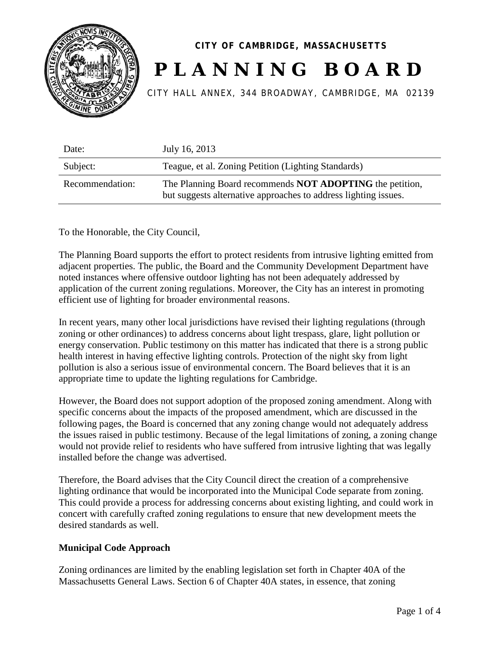

## **CITY OF CAMBRIDGE, MASSACHUSETTS PLANNING BOARD**

CITY HALL ANNEX, 344 BROADWAY, CAMBRIDGE, MA 02139

| Date:           | July 16, 2013                                                                                                               |
|-----------------|-----------------------------------------------------------------------------------------------------------------------------|
| Subject:        | Teague, et al. Zoning Petition (Lighting Standards)                                                                         |
| Recommendation: | The Planning Board recommends NOT ADOPTING the petition,<br>but suggests alternative approaches to address lighting issues. |

To the Honorable, the City Council,

The Planning Board supports the effort to protect residents from intrusive lighting emitted from adjacent properties. The public, the Board and the Community Development Department have noted instances where offensive outdoor lighting has not been adequately addressed by application of the current zoning regulations. Moreover, the City has an interest in promoting efficient use of lighting for broader environmental reasons.

In recent years, many other local jurisdictions have revised their lighting regulations (through zoning or other ordinances) to address concerns about light trespass, glare, light pollution or energy conservation. Public testimony on this matter has indicated that there is a strong public health interest in having effective lighting controls. Protection of the night sky from light pollution is also a serious issue of environmental concern. The Board believes that it is an appropriate time to update the lighting regulations for Cambridge.

However, the Board does not support adoption of the proposed zoning amendment. Along with specific concerns about the impacts of the proposed amendment, which are discussed in the following pages, the Board is concerned that any zoning change would not adequately address the issues raised in public testimony. Because of the legal limitations of zoning, a zoning change would not provide relief to residents who have suffered from intrusive lighting that was legally installed before the change was advertised.

Therefore, the Board advises that the City Council direct the creation of a comprehensive lighting ordinance that would be incorporated into the Municipal Code separate from zoning. This could provide a process for addressing concerns about existing lighting, and could work in concert with carefully crafted zoning regulations to ensure that new development meets the desired standards as well.

## **Municipal Code Approach**

Zoning ordinances are limited by the enabling legislation set forth in Chapter 40A of the Massachusetts General Laws. Section 6 of Chapter 40A states, in essence, that zoning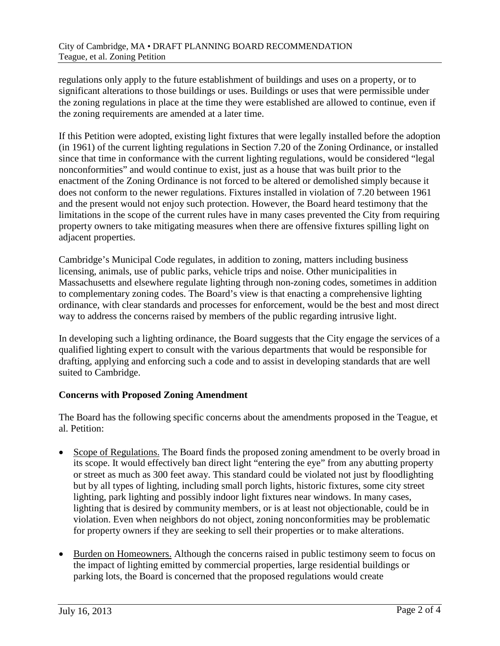regulations only apply to the future establishment of buildings and uses on a property, or to significant alterations to those buildings or uses. Buildings or uses that were permissible under the zoning regulations in place at the time they were established are allowed to continue, even if the zoning requirements are amended at a later time.

If this Petition were adopted, existing light fixtures that were legally installed before the adoption (in 1961) of the current lighting regulations in Section 7.20 of the Zoning Ordinance, or installed since that time in conformance with the current lighting regulations, would be considered "legal nonconformities" and would continue to exist, just as a house that was built prior to the enactment of the Zoning Ordinance is not forced to be altered or demolished simply because it does not conform to the newer regulations. Fixtures installed in violation of 7.20 between 1961 and the present would not enjoy such protection. However, the Board heard testimony that the limitations in the scope of the current rules have in many cases prevented the City from requiring property owners to take mitigating measures when there are offensive fixtures spilling light on adjacent properties.

Cambridge's Municipal Code regulates, in addition to zoning, matters including business licensing, animals, use of public parks, vehicle trips and noise. Other municipalities in Massachusetts and elsewhere regulate lighting through non-zoning codes, sometimes in addition to complementary zoning codes. The Board's view is that enacting a comprehensive lighting ordinance, with clear standards and processes for enforcement, would be the best and most direct way to address the concerns raised by members of the public regarding intrusive light.

In developing such a lighting ordinance, the Board suggests that the City engage the services of a qualified lighting expert to consult with the various departments that would be responsible for drafting, applying and enforcing such a code and to assist in developing standards that are well suited to Cambridge.

## **Concerns with Proposed Zoning Amendment**

The Board has the following specific concerns about the amendments proposed in the Teague, et al. Petition:

- Scope of Regulations. The Board finds the proposed zoning amendment to be overly broad in its scope. It would effectively ban direct light "entering the eye" from any abutting property or street as much as 300 feet away. This standard could be violated not just by floodlighting but by all types of lighting, including small porch lights, historic fixtures, some city street lighting, park lighting and possibly indoor light fixtures near windows. In many cases, lighting that is desired by community members, or is at least not objectionable, could be in violation. Even when neighbors do not object, zoning nonconformities may be problematic for property owners if they are seeking to sell their properties or to make alterations.
- Burden on Homeowners. Although the concerns raised in public testimony seem to focus on the impact of lighting emitted by commercial properties, large residential buildings or parking lots, the Board is concerned that the proposed regulations would create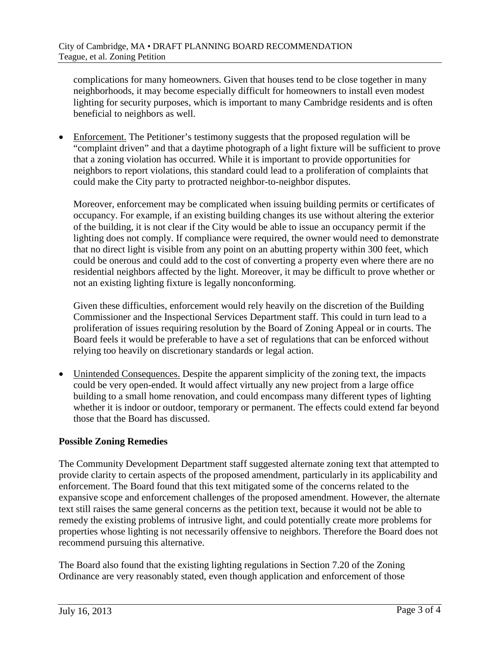complications for many homeowners. Given that houses tend to be close together in many neighborhoods, it may become especially difficult for homeowners to install even modest lighting for security purposes, which is important to many Cambridge residents and is often beneficial to neighbors as well.

• Enforcement. The Petitioner's testimony suggests that the proposed regulation will be "complaint driven" and that a daytime photograph of a light fixture will be sufficient to prove that a zoning violation has occurred. While it is important to provide opportunities for neighbors to report violations, this standard could lead to a proliferation of complaints that could make the City party to protracted neighbor-to-neighbor disputes.

Moreover, enforcement may be complicated when issuing building permits or certificates of occupancy. For example, if an existing building changes its use without altering the exterior of the building, it is not clear if the City would be able to issue an occupancy permit if the lighting does not comply. If compliance were required, the owner would need to demonstrate that no direct light is visible from any point on an abutting property within 300 feet, which could be onerous and could add to the cost of converting a property even where there are no residential neighbors affected by the light. Moreover, it may be difficult to prove whether or not an existing lighting fixture is legally nonconforming.

Given these difficulties, enforcement would rely heavily on the discretion of the Building Commissioner and the Inspectional Services Department staff. This could in turn lead to a proliferation of issues requiring resolution by the Board of Zoning Appeal or in courts. The Board feels it would be preferable to have a set of regulations that can be enforced without relying too heavily on discretionary standards or legal action.

• Unintended Consequences. Despite the apparent simplicity of the zoning text, the impacts could be very open-ended. It would affect virtually any new project from a large office building to a small home renovation, and could encompass many different types of lighting whether it is indoor or outdoor, temporary or permanent. The effects could extend far beyond those that the Board has discussed.

## **Possible Zoning Remedies**

The Community Development Department staff suggested alternate zoning text that attempted to provide clarity to certain aspects of the proposed amendment, particularly in its applicability and enforcement. The Board found that this text mitigated some of the concerns related to the expansive scope and enforcement challenges of the proposed amendment. However, the alternate text still raises the same general concerns as the petition text, because it would not be able to remedy the existing problems of intrusive light, and could potentially create more problems for properties whose lighting is not necessarily offensive to neighbors. Therefore the Board does not recommend pursuing this alternative.

The Board also found that the existing lighting regulations in Section 7.20 of the Zoning Ordinance are very reasonably stated, even though application and enforcement of those